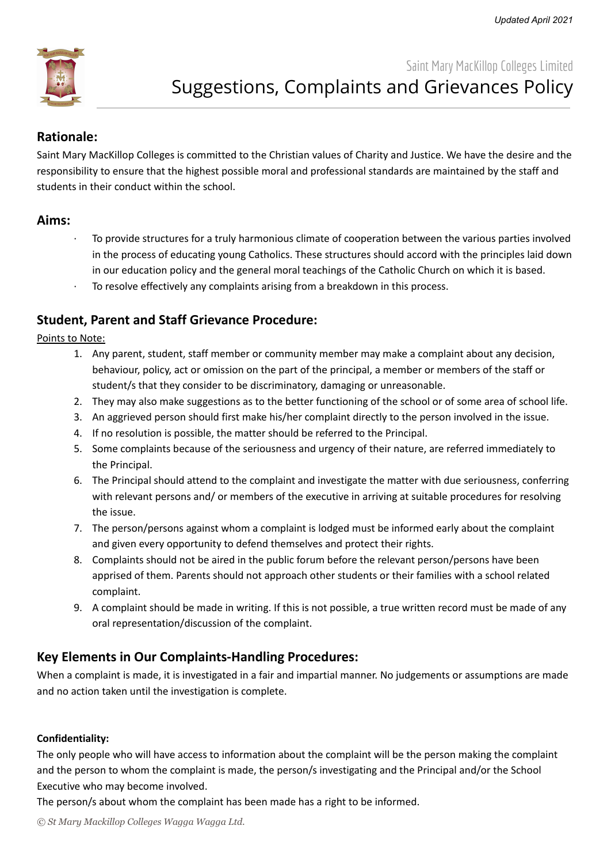

# **Rationale:**

Saint Mary MacKillop Colleges is committed to the Christian values of Charity and Justice. We have the desire and the responsibility to ensure that the highest possible moral and professional standards are maintained by the staff and students in their conduct within the school.

## **Aims:**

- · To provide structures for a truly harmonious climate of cooperation between the various parties involved in the process of educating young Catholics. These structures should accord with the principles laid down in our education policy and the general moral teachings of the Catholic Church on which it is based.
- To resolve effectively any complaints arising from a breakdown in this process.

# **Student, Parent and Staff Grievance Procedure:**

Points to Note:

- 1. Any parent, student, staff member or community member may make a complaint about any decision, behaviour, policy, act or omission on the part of the principal, a member or members of the staff or student/s that they consider to be discriminatory, damaging or unreasonable.
- 2. They may also make suggestions as to the better functioning of the school or of some area of school life.
- 3. An aggrieved person should first make his/her complaint directly to the person involved in the issue.
- 4. If no resolution is possible, the matter should be referred to the Principal.
- 5. Some complaints because of the seriousness and urgency of their nature, are referred immediately to the Principal.
- 6. The Principal should attend to the complaint and investigate the matter with due seriousness, conferring with relevant persons and/ or members of the executive in arriving at suitable procedures for resolving the issue.
- 7. The person/persons against whom a complaint is lodged must be informed early about the complaint and given every opportunity to defend themselves and protect their rights.
- 8. Complaints should not be aired in the public forum before the relevant person/persons have been apprised of them. Parents should not approach other students or their families with a school related complaint.
- 9. A complaint should be made in writing. If this is not possible, a true written record must be made of any oral representation/discussion of the complaint.

# **Key Elements in Our Complaints-Handling Procedures:**

When a complaint is made, it is investigated in a fair and impartial manner. No judgements or assumptions are made and no action taken until the investigation is complete.

### **Confidentiality:**

The only people who will have access to information about the complaint will be the person making the complaint and the person to whom the complaint is made, the person/s investigating and the Principal and/or the School Executive who may become involved.

The person/s about whom the complaint has been made has a right to be informed.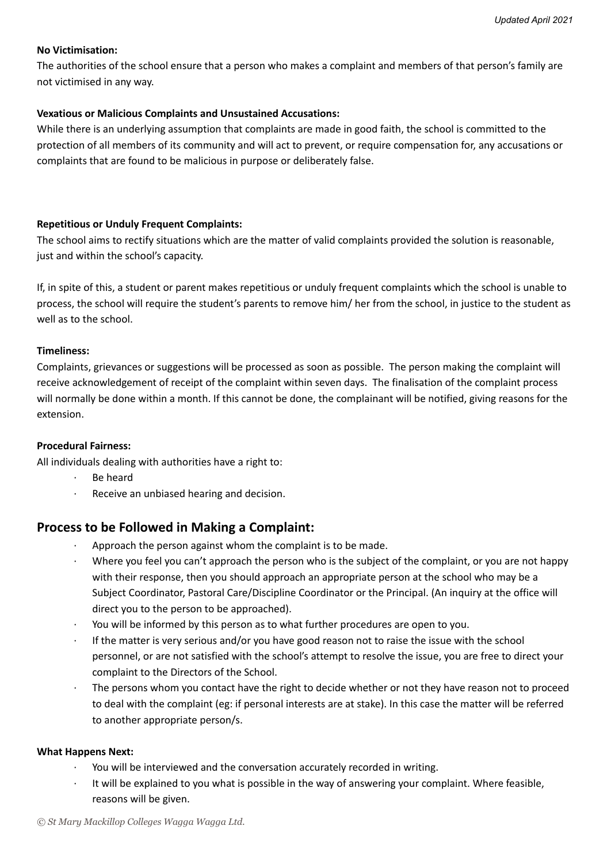### **No Victimisation:**

The authorities of the school ensure that a person who makes a complaint and members of that person's family are not victimised in any way.

#### **Vexatious or Malicious Complaints and Unsustained Accusations:**

While there is an underlying assumption that complaints are made in good faith, the school is committed to the protection of all members of its community and will act to prevent, or require compensation for, any accusations or complaints that are found to be malicious in purpose or deliberately false.

#### **Repetitious or Unduly Frequent Complaints:**

The school aims to rectify situations which are the matter of valid complaints provided the solution is reasonable, just and within the school's capacity.

If, in spite of this, a student or parent makes repetitious or unduly frequent complaints which the school is unable to process, the school will require the student's parents to remove him/ her from the school, in justice to the student as well as to the school.

#### **Timeliness:**

Complaints, grievances or suggestions will be processed as soon as possible. The person making the complaint will receive acknowledgement of receipt of the complaint within seven days. The finalisation of the complaint process will normally be done within a month. If this cannot be done, the complainant will be notified, giving reasons for the extension.

#### **Procedural Fairness:**

All individuals dealing with authorities have a right to:

- · Be heard
- Receive an unbiased hearing and decision.

# **Process to be Followed in Making a Complaint:**

- Approach the person against whom the complaint is to be made.
- · Where you feel you can't approach the person who is the subject of the complaint, or you are not happy with their response, then you should approach an appropriate person at the school who may be a Subject Coordinator, Pastoral Care/Discipline Coordinator or the Principal. (An inquiry at the office will direct you to the person to be approached).
- · You will be informed by this person as to what further procedures are open to you.
- If the matter is very serious and/or you have good reason not to raise the issue with the school personnel, or are not satisfied with the school's attempt to resolve the issue, you are free to direct your complaint to the Directors of the School.
- The persons whom you contact have the right to decide whether or not they have reason not to proceed to deal with the complaint (eg: if personal interests are at stake). In this case the matter will be referred to another appropriate person/s.

#### **What Happens Next:**

- You will be interviewed and the conversation accurately recorded in writing.
- · It will be explained to you what is possible in the way of answering your complaint. Where feasible, reasons will be given.